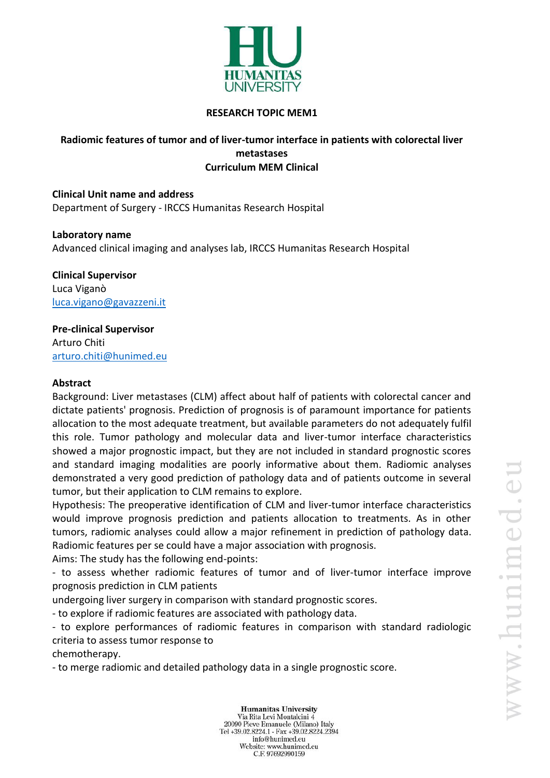

### **RESEARCH TOPIC MEM1**

## **Radiomic features of tumor and of liver-tumor interface in patients with colorectal liver metastases Curriculum MEM Clinical**

**Clinical Unit name and address** Department of Surgery - IRCCS Humanitas Research Hospital

**Laboratory name** Advanced clinical imaging and analyses lab, IRCCS Humanitas Research Hospital

**Clinical Supervisor** Luca Viganò [luca.vigano@gavazzeni.it](mailto:luca.vigano@gavazzeni.it)

# **Pre-clinical Supervisor**

Arturo Chiti [arturo.chiti@hunimed.eu](mailto:arturo.chiti@hunimed.eu)

### **Abstract**

Background: Liver metastases (CLM) affect about half of patients with colorectal cancer and dictate patients' prognosis. Prediction of prognosis is of paramount importance for patients allocation to the most adequate treatment, but available parameters do not adequately fulfil this role. Tumor pathology and molecular data and liver-tumor interface characteristics showed a major prognostic impact, but they are not included in standard prognostic scores and standard imaging modalities are poorly informative about them. Radiomic analyses demonstrated a very good prediction of pathology data and of patients outcome in several tumor, but their application to CLM remains to explore.

Hypothesis: The preoperative identification of CLM and liver-tumor interface characteristics would improve prognosis prediction and patients allocation to treatments. As in other tumors, radiomic analyses could allow a major refinement in prediction of pathology data. Radiomic features per se could have a major association with prognosis.

Aims: The study has the following end-points:

- to assess whether radiomic features of tumor and of liver-tumor interface improve prognosis prediction in CLM patients

undergoing liver surgery in comparison with standard prognostic scores.

- to explore if radiomic features are associated with pathology data.

- to explore performances of radiomic features in comparison with standard radiologic criteria to assess tumor response to

chemotherapy.

- to merge radiomic and detailed pathology data in a single prognostic score.

**Humanitas University** Via Rita Levi Montalcini 4 20090 Pieve Emanuele (Milano) Italy Tel +39.02.8224.1 - Fax +39.02.8224.2394 info@hunimed.eu Website: www.hunimed.eu C.F. 97692990159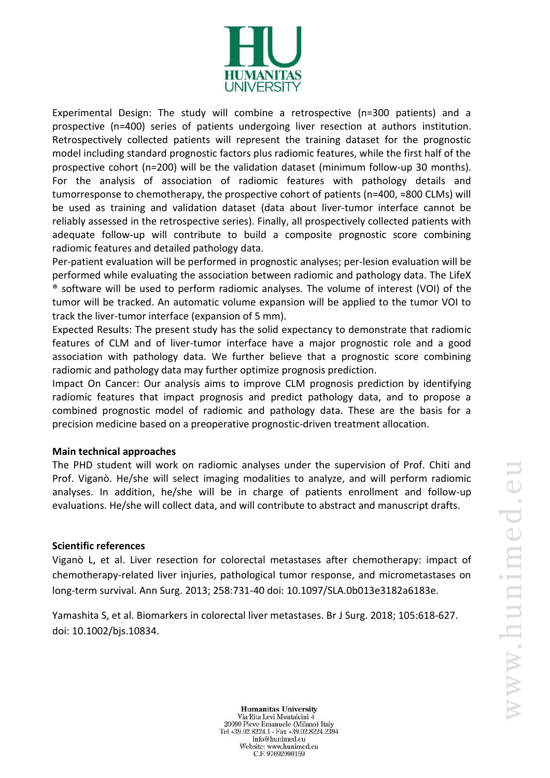

Experimental Design: The study will combine a retrospective (n=300 patients) and a prospective (n=400) series of patients undergoing liver resection at authors institution. Retrospectively collected patients will represent the training dataset for the prognostic model including standard prognostic factors plus radiomic features, while the first half of the prospective cohort (n=200) will be the validation dataset (minimum follow-up 30 months). For the analysis of association of radiomic features with pathology details and tumorresponse to chemotherapy, the prospective cohort of patients (n=400, ≈800 CLMs) will be used as training and validation dataset (data about liver-tumor interface cannot be reliably assessed in the retrospective series). Finally, all prospectively collected patients with adequate follow-up will contribute to build a composite prognostic score combining radiomic features and detailed pathology data.

Per-patient evaluation will be performed in prognostic analyses; per-lesion evaluation will be performed while evaluating the association between radiomic and pathology data. The LifeX ® software will be used to perform radiomic analyses. The volume of interest (VOI) of the tumor will be tracked. An automatic volume expansion will be applied to the tumor VOI to track the liver-tumor interface (expansion of 5 mm).

Expected Results: The present study has the solid expectancy to demonstrate that radiomic features of CLM and of liver-tumor interface have a major prognostic role and a good association with pathology data. We further believe that a prognostic score combining radiomic and pathology data may further optimize prognosis prediction.

Impact On Cancer: Our analysis aims to improve CLM prognosis prediction by identifying radiomic features that impact prognosis and predict pathology data, and to propose a combined prognostic model of radiomic and pathology data. These are the basis for a precision medicine based on a preoperative prognostic-driven treatment allocation.

#### **Main technical approaches**

The PHD student will work on radiomic analyses under the supervision of Prof. Chiti and Prof. Viganò. He/she will select imaging modalities to analyze, and will perform radiomic analyses. In addition, he/she will be in charge of patients enrollment and follow-up evaluations. He/she will collect data, and will contribute to abstract and manuscript drafts.

#### **Scientific references**

Viganò L, et al. Liver resection for colorectal metastases after chemotherapy: impact of chemotherapy-related liver injuries, pathological tumor response, and micrometastases on long-term survival. Ann Surg. 2013; 258:731-40 doi: 10.1097/SLA.0b013e3182a6183e.

Yamashita S, et al. Biomarkers in colorectal liver metastases. Br J Surg. 2018; 105:618-627. doi: 10.1002/bjs.10834.

**Humanitas University** Via Rita Levi Montalcini 4 20090 Pieve Emanuele (Milano) Italy Tel +39.02.8224.1 - Fax +39.02.8224.2394 info@hunimed.eu Website: www.hunimed.eu C.F. 97692990159